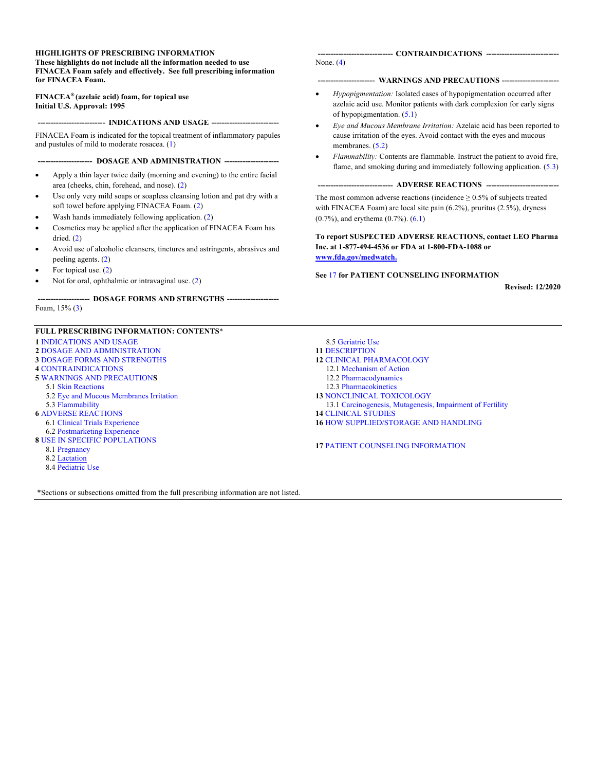#### **HIGHLIGHTS OF PRESCRIBING INFORMATION**

**These highlights do not include all the information needed to use FINACEA Foam safely and effectively. See full prescribing information for FINACEA Foam.** 

**FINACEA® (azelaic acid) foam, for topical use Initial U.S. Approval: 1995**

**-------------------------- -------------------------- INDICATIONS AND USAGE**

FINACEA Foam is indicated for the topical treatment of inflammatory papules and pustules of mild to moderate rosacea. ([1\)](#page-1-0)

**--------------------- --------------------- DOSAGE AND ADMINISTRATION**

- Apply a thin layer twice daily (morning and evening) to the entire facial area (cheeks, chin, forehead, and nose). [\(2](#page-1-0))
- Use only very mild soaps or soapless cleansing lotion and pat dry with a soft towel before applying FINACEA Foam. [\(2\)](#page-1-0)
- Wash hands immediately following application. [\(2](#page-1-0))
- Cosmetics may be applied after the application of FINACEA Foam has dried. [\(2](#page-1-0))
- Avoid use of alcoholic cleansers, tinctures and astringents, abrasives and peeling agents. ([2\)](#page-1-0)
- For topical use. [\(2](#page-1-0))
- Not for oral, ophthalmic or intravaginal use. [\(2](#page-1-0))

**-------------------- -------------------- DOSAGE FORMS AND STRENGTHS**

Foam, 15% ([3\)](#page-1-0)

#### **FULL PRESCRIBING INFORMATION: CONTENTS**\*

- **1** INDICATIONS AND USAGE **2** DOSAGE AND ADMINISTRATION **3** DOSAGE FORMS AND STRENGTHS **4** CONTRAINDICATIONS **5** WARNINGS AND PRECAUTION**S** 5.1 Skin Reactions
	- 5.2 Eye and Mucous Membranes Irritation
- 5.3 Flammability **6** ADVERSE REACTIONS
- 6.1 Clinical Trials Experience
- 6.2 Postmarketing Experience
- **8** USE IN SPECIFIC POPULATIONS
	- 8.1 Pregnancy
	- 8.2 Lactation
	- 8.4 Pediatric Use

\*Sections or subsections omitted from the full prescribing information are not listed.

#### **----------------------------- ---------------------------- CONTRAINDICATIONS**

None. [\(4](#page-1-0))

#### **---------------------- ---------------------- WARNINGS AND PRECAUTIONS**

- *Hypopigmentation:* Isolated cases of hypopigmentation occurred after azelaic acid use. Monitor patients with dark complexion for early signs of hypopigmentation. ([5.1\)](#page-1-0)
- *Eye and Mucous Membrane Irritation:* Azelaic acid has been reported to cause irritation of the eyes. Avoid contact with the eyes and mucous membranes.  $(5.2)$  $(5.2)$
- *Flammability:* Contents are flammable. Instruct the patient to avoid fire, flame, and smoking during and immediately following application. [\(5.3](#page-2-0))

----------------------------- ADVERSE REACTIONS --------------------------------

The most common adverse reactions (incidence  $\geq 0.5\%$  of subjects treated with FINACEA Foam) are local site pain (6.2%), pruritus (2.5%), dryness (0.7%), and erythema (0.7%). [\(6.1](#page-2-0))

**To report SUSPECTED ADVERSE REACTIONS, contact LEO Pharma Inc. at 1-877-494-4536 or FDA at 1-800-FDA-1088 or [www.fda.gov/medwatch](http://www.fda.gov/medwatch).**

#### **See** [17](#page-7-0) **for PATIENT COUNSELING INFORMATION**

**Revised: 12/2020**

- 8.5 Geriatric Use **11** DESCRIPTION
- **12** CLINICAL PHARMACOLOGY
	- 12.1 Mechanism of Action
	- 12.2 Pharmacodynamics
	- 12.3 Pharmacokinetics
- **13** NONCLINICAL TOXICOLOGY
- 13.1 Carcinogenesis, Mutagenesis, Impairment of Fertility **14** CLINICAL STUDIES
- **16** HOW SUPPLIED/STORAGE AND HANDLING

**17** PATIENT COUNSELING INFORMATION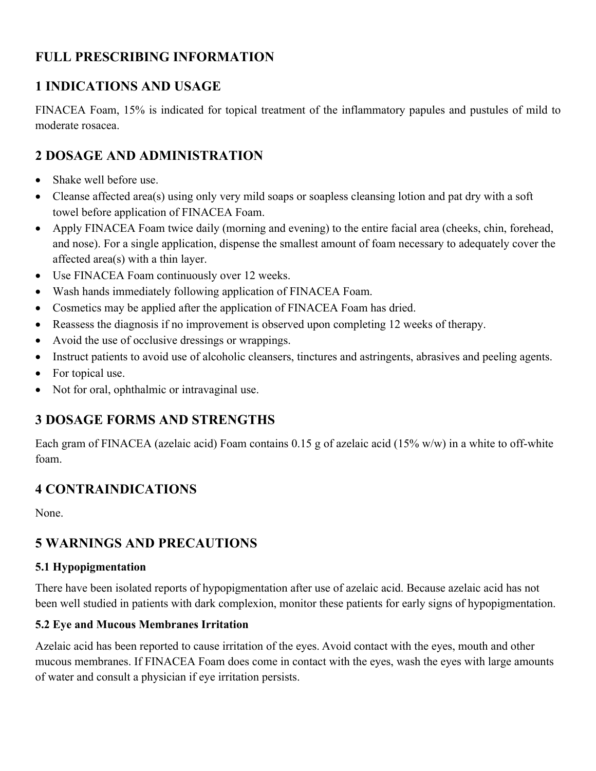## <span id="page-1-0"></span>**FULL PRESCRIBING INFORMATION**

## **1 INDICATIONS AND USAGE**

FINACEA Foam, 15% is indicated for topical treatment of the inflammatory papules and pustules of mild to moderate rosacea.

## **2 DOSAGE AND ADMINISTRATION**

- Shake well before use.
- Cleanse affected area(s) using only very mild soaps or soapless cleansing lotion and pat dry with a soft towel before application of FINACEA Foam.
- Apply FINACEA Foam twice daily (morning and evening) to the entire facial area (cheeks, chin, forehead, and nose). For a single application, dispense the smallest amount of foam necessary to adequately cover the affected area(s) with a thin layer.
- Use FINACEA Foam continuously over 12 weeks.
- Wash hands immediately following application of FINACEA Foam.
- Cosmetics may be applied after the application of FINACEA Foam has dried.
- Reassess the diagnosis if no improvement is observed upon completing 12 weeks of therapy.
- Avoid the use of occlusive dressings or wrappings.
- Instruct patients to avoid use of alcoholic cleansers, tinctures and astringents, abrasives and peeling agents.
- For topical use.
- Not for oral, ophthalmic or intravaginal use.

## **3 DOSAGE FORMS AND STRENGTHS**

Each gram of FINACEA (azelaic acid) Foam contains 0.15 g of azelaic acid (15% w/w) in a white to off-white foam.

# **4 CONTRAINDICATIONS**

None.

# **5 WARNINGS AND PRECAUTIONS**

#### **5.1 Hypopigmentation**

There have been isolated reports of hypopigmentation after use of azelaic acid. Because azelaic acid has not been well studied in patients with dark complexion, monitor these patients for early signs of hypopigmentation.

#### **5.2 Eye and Mucous Membranes Irritation**

Azelaic acid has been reported to cause irritation of the eyes. Avoid contact with the eyes, mouth and other mucous membranes. If FINACEA Foam does come in contact with the eyes, wash the eyes with large amounts of water and consult a physician if eye irritation persists.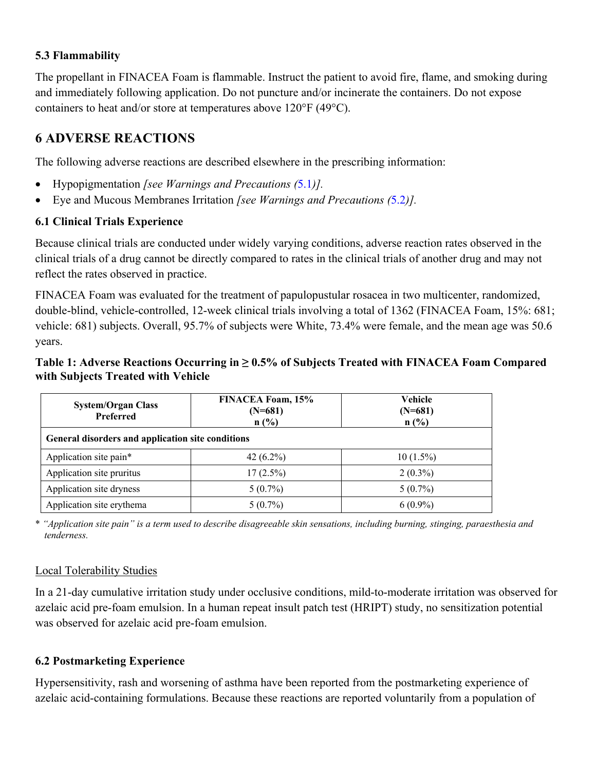#### <span id="page-2-0"></span>**5.3 Flammability**

The propellant in FINACEA Foam is flammable. Instruct the patient to avoid fire, flame, and smoking during and immediately following application. Do not puncture and/or incinerate the containers. Do not expose containers to heat and/or store at temperatures above 120°F (49°C).

## **6 ADVERSE REACTIONS**

The following adverse reactions are described elsewhere in the prescribing information:

- Hypopigmentation *[see Warnings and Precautions (*[5.1](#page-1-0)*)].*
- Eye and Mucous Membranes Irritation *[see Warnings and Precautions (*[5.2](#page-1-0)*)].*

#### **6.1 Clinical Trials Experience**

Because clinical trials are conducted under widely varying conditions, adverse reaction rates observed in the clinical trials of a drug cannot be directly compared to rates in the clinical trials of another drug and may not reflect the rates observed in practice.

FINACEA Foam was evaluated for the treatment of papulopustular rosacea in two multicenter, randomized, double-blind, vehicle-controlled, 12-week clinical trials involving a total of 1362 (FINACEA Foam, 15%: 681; vehicle: 681) subjects. Overall, 95.7% of subjects were White, 73.4% were female, and the mean age was 50.6 years.

#### **Table 1: Adverse Reactions Occurring in ≥ 0.5% of Subjects Treated with FINACEA Foam Compared with Subjects Treated with Vehicle**

| <b>System/Organ Class</b><br><b>Preferred</b>     | FINACEA Foam, 15%<br>$(N=681)$<br>n(%) | Vehicle<br>$(N=681)$<br>n(%) |  |  |  |  |
|---------------------------------------------------|----------------------------------------|------------------------------|--|--|--|--|
| General disorders and application site conditions |                                        |                              |  |  |  |  |
| Application site pain*                            | 42 $(6.2\%)$                           | $10(1.5\%)$                  |  |  |  |  |
| Application site pruritus                         | $17(2.5\%)$                            | $2(0.3\%)$                   |  |  |  |  |
| Application site dryness                          | $5(0.7\%)$                             | $5(0.7\%)$                   |  |  |  |  |
| Application site erythema                         | $5(0.7\%)$<br>$6(0.9\%)$               |                              |  |  |  |  |

\* *"Application site pain" is a term used to describe disagreeable skin sensations, including burning, stinging, paraesthesia and tenderness.*

#### Local Tolerability Studies

In a 21-day cumulative irritation study under occlusive conditions, mild-to-moderate irritation was observed for azelaic acid pre-foam emulsion. In a human repeat insult patch test (HRIPT) study, no sensitization potential was observed for azelaic acid pre-foam emulsion.

#### **6.2 Postmarketing Experience**

Hypersensitivity, rash and worsening of asthma have been reported from the postmarketing experience of azelaic acid-containing formulations. Because these reactions are reported voluntarily from a population of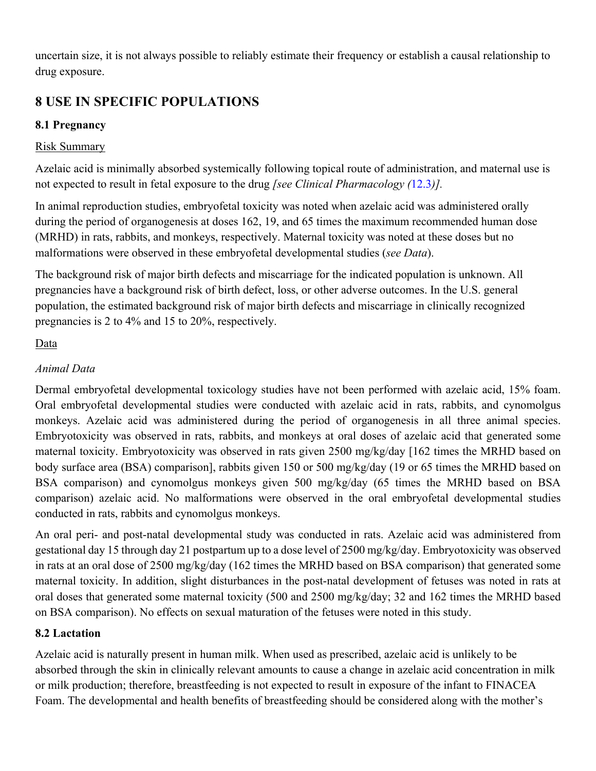uncertain size, it is not always possible to reliably estimate their frequency or establish a causal relationship to drug exposure.

# **8 USE IN SPECIFIC POPULATIONS**

## **8.1 Pregnancy**

#### Risk Summary

Azelaic acid is minimally absorbed systemically following topical route of administration, and maternal use is not expected to result in fetal exposure to the drug *[see Clinical Pharmacology (*[12.3](#page-4-0)*)].* 

In animal reproduction studies, embryofetal toxicity was noted when azelaic acid was administered orally during the period of organogenesis at doses 162, 19, and 65 times the maximum recommended human dose (MRHD) in rats, rabbits, and monkeys, respectively. Maternal toxicity was noted at these doses but no malformations were observed in these embryofetal developmental studies (*see Data*).

The background risk of major birth defects and miscarriage for the indicated population is unknown. All pregnancies have a background risk of birth defect, loss, or other adverse outcomes. In the U.S. general population, the estimated background risk of major birth defects and miscarriage in clinically recognized pregnancies is 2 to 4% and 15 to 20%, respectively.

#### Data

### *Animal Data*

Dermal embryofetal developmental toxicology studies have not been performed with azelaic acid, 15% foam. Oral embryofetal developmental studies were conducted with azelaic acid in rats, rabbits, and cynomolgus monkeys. Azelaic acid was administered during the period of organogenesis in all three animal species. Embryotoxicity was observed in rats, rabbits, and monkeys at oral doses of azelaic acid that generated some maternal toxicity. Embryotoxicity was observed in rats given 2500 mg/kg/day [162 times the MRHD based on body surface area (BSA) comparison], rabbits given 150 or 500 mg/kg/day (19 or 65 times the MRHD based on BSA comparison) and cynomolgus monkeys given 500 mg/kg/day (65 times the MRHD based on BSA comparison) azelaic acid. No malformations were observed in the oral embryofetal developmental studies conducted in rats, rabbits and cynomolgus monkeys.

An oral peri- and post-natal developmental study was conducted in rats. Azelaic acid was administered from gestational day 15 through day 21 postpartum up to a dose level of 2500 mg/kg/day. Embryotoxicity was observed in rats at an oral dose of 2500 mg/kg/day (162 times the MRHD based on BSA comparison) that generated some maternal toxicity. In addition, slight disturbances in the post-natal development of fetuses was noted in rats at oral doses that generated some maternal toxicity (500 and 2500 mg/kg/day; 32 and 162 times the MRHD based on BSA comparison). No effects on sexual maturation of the fetuses were noted in this study.

#### **8.2 Lactation**

Azelaic acid is naturally present in human milk. When used as prescribed, azelaic acid is unlikely to be absorbed through the skin in clinically relevant amounts to cause a change in azelaic acid concentration in milk or milk production; therefore, breastfeeding is not expected to result in exposure of the infant to FINACEA Foam. The developmental and health benefits of breastfeeding should be considered along with the mother's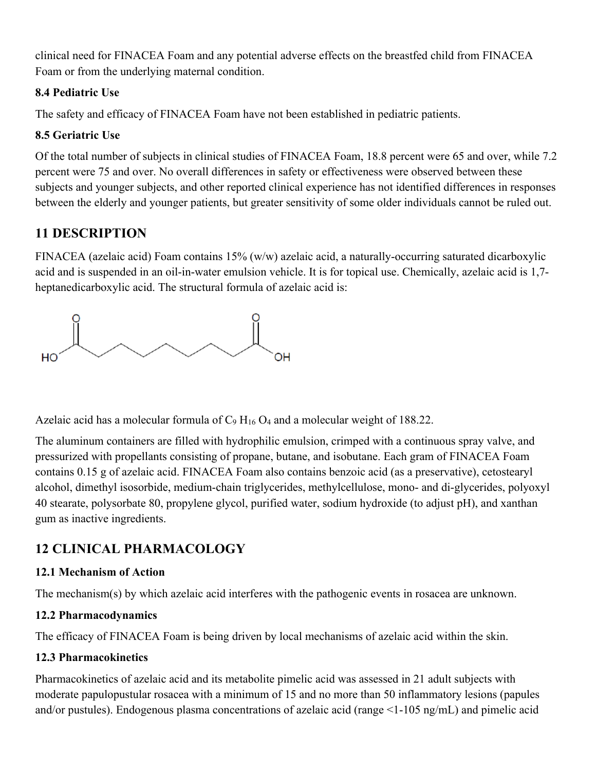<span id="page-4-0"></span>clinical need for FINACEA Foam and any potential adverse effects on the breastfed child from FINACEA Foam or from the underlying maternal condition.

#### **8.4 Pediatric Use**

The safety and efficacy of FINACEA Foam have not been established in pediatric patients.

### **8.5 Geriatric Use**

Of the total number of subjects in clinical studies of FINACEA Foam, 18.8 percent were 65 and over, while 7.2 percent were 75 and over. No overall differences in safety or effectiveness were observed between these subjects and younger subjects, and other reported clinical experience has not identified differences in responses between the elderly and younger patients, but greater sensitivity of some older individuals cannot be ruled out.

# **11 DESCRIPTION**

FINACEA (azelaic acid) Foam contains 15% (w/w) azelaic acid, a naturally-occurring saturated dicarboxylic acid and is suspended in an oil-in-water emulsion vehicle. It is for topical use. Chemically, azelaic acid is 1,7 heptanedicarboxylic acid. The structural formula of azelaic acid is:



Azelaic acid has a molecular formula of  $C_9 H_{16} O_4$  and a molecular weight of 188.22.

The aluminum containers are filled with hydrophilic emulsion, crimped with a continuous spray valve, and pressurized with propellants consisting of propane, butane, and isobutane. Each gram of FINACEA Foam contains 0.15 g of azelaic acid. FINACEA Foam also contains benzoic acid (as a preservative), cetostearyl alcohol, dimethyl isosorbide, medium-chain triglycerides, methylcellulose, mono- and di-glycerides, polyoxyl 40 stearate, polysorbate 80, propylene glycol, purified water, sodium hydroxide (to adjust pH), and xanthan gum as inactive ingredients.

# **12 CLINICAL PHARMACOLOGY**

### **12.1 Mechanism of Action**

The mechanism(s) by which azelaic acid interferes with the pathogenic events in rosacea are unknown.

### **12.2 Pharmacodynamics**

The efficacy of FINACEA Foam is being driven by local mechanisms of azelaic acid within the skin.

### **12.3 Pharmacokinetics**

Pharmacokinetics of azelaic acid and its metabolite pimelic acid was assessed in 21 adult subjects with moderate papulopustular rosacea with a minimum of 15 and no more than 50 inflammatory lesions (papules and/or pustules). Endogenous plasma concentrations of azelaic acid (range <1-105 ng/mL) and pimelic acid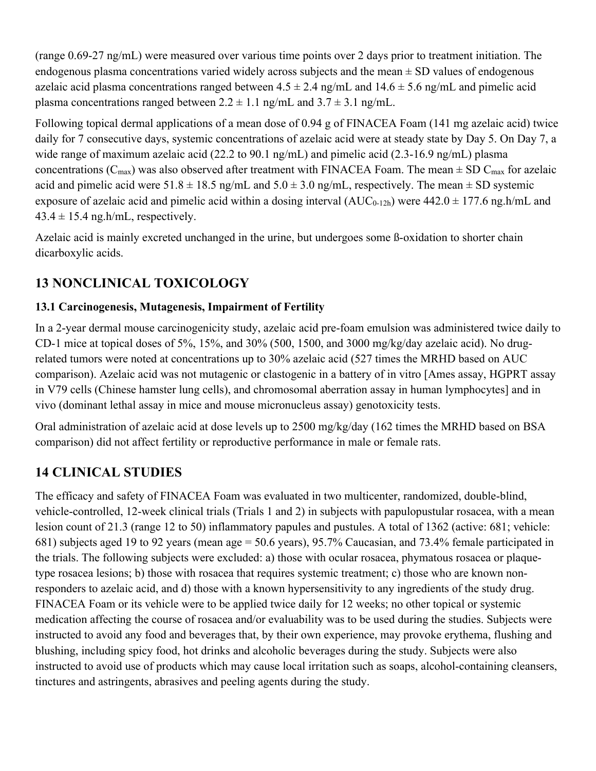(range 0.69-27 ng/mL) were measured over various time points over 2 days prior to treatment initiation. The endogenous plasma concentrations varied widely across subjects and the mean  $\pm$  SD values of endogenous azelaic acid plasma concentrations ranged between  $4.5 \pm 2.4$  ng/mL and  $14.6 \pm 5.6$  ng/mL and pimelic acid plasma concentrations ranged between  $2.2 \pm 1.1$  ng/mL and  $3.7 \pm 3.1$  ng/mL.

Following topical dermal applications of a mean dose of 0.94 g of FINACEA Foam (141 mg azelaic acid) twice daily for 7 consecutive days, systemic concentrations of azelaic acid were at steady state by Day 5. On Day 7, a wide range of maximum azelaic acid (22.2 to 90.1 ng/mL) and pimelic acid (2.3-16.9 ng/mL) plasma concentrations ( $C_{\text{max}}$ ) was also observed after treatment with FINACEA Foam. The mean  $\pm$  SD  $C_{\text{max}}$  for azelaic acid and pimelic acid were  $51.8 \pm 18.5$  ng/mL and  $5.0 \pm 3.0$  ng/mL, respectively. The mean  $\pm$  SD systemic exposure of azelaic acid and pimelic acid within a dosing interval  $(AUC_{0-12h})$  were  $442.0 \pm 177.6$  ng.h/mL and  $43.4 \pm 15.4$  ng.h/mL, respectively.

Azelaic acid is mainly excreted unchanged in the urine, but undergoes some ß-oxidation to shorter chain dicarboxylic acids.

# **13 NONCLINICAL TOXICOLOGY**

#### **13.1 Carcinogenesis, Mutagenesis, Impairment of Fertility**

In a 2-year dermal mouse carcinogenicity study, azelaic acid pre-foam emulsion was administered twice daily to CD-1 mice at topical doses of 5%, 15%, and 30% (500, 1500, and 3000 mg/kg/day azelaic acid). No drugrelated tumors were noted at concentrations up to 30% azelaic acid (527 times the MRHD based on AUC comparison). Azelaic acid was not mutagenic or clastogenic in a battery of in vitro [Ames assay, HGPRT assay in V79 cells (Chinese hamster lung cells), and chromosomal aberration assay in human lymphocytes] and in vivo (dominant lethal assay in mice and mouse micronucleus assay) genotoxicity tests.

Oral administration of azelaic acid at dose levels up to 2500 mg/kg/day (162 times the MRHD based on BSA comparison) did not affect fertility or reproductive performance in male or female rats.

# **14 CLINICAL STUDIES**

The efficacy and safety of FINACEA Foam was evaluated in two multicenter, randomized, double-blind, vehicle-controlled, 12-week clinical trials (Trials 1 and 2) in subjects with papulopustular rosacea, with a mean lesion count of 21.3 (range 12 to 50) inflammatory papules and pustules. A total of 1362 (active: 681; vehicle: 681) subjects aged 19 to 92 years (mean age = 50.6 years), 95.7% Caucasian, and 73.4% female participated in the trials. The following subjects were excluded: a) those with ocular rosacea, phymatous rosacea or plaquetype rosacea lesions; b) those with rosacea that requires systemic treatment; c) those who are known nonresponders to azelaic acid, and d) those with a known hypersensitivity to any ingredients of the study drug. FINACEA Foam or its vehicle were to be applied twice daily for 12 weeks; no other topical or systemic medication affecting the course of rosacea and/or evaluability was to be used during the studies. Subjects were instructed to avoid any food and beverages that, by their own experience, may provoke erythema, flushing and blushing, including spicy food, hot drinks and alcoholic beverages during the study. Subjects were also instructed to avoid use of products which may cause local irritation such as soaps, alcohol-containing cleansers, tinctures and astringents, abrasives and peeling agents during the study.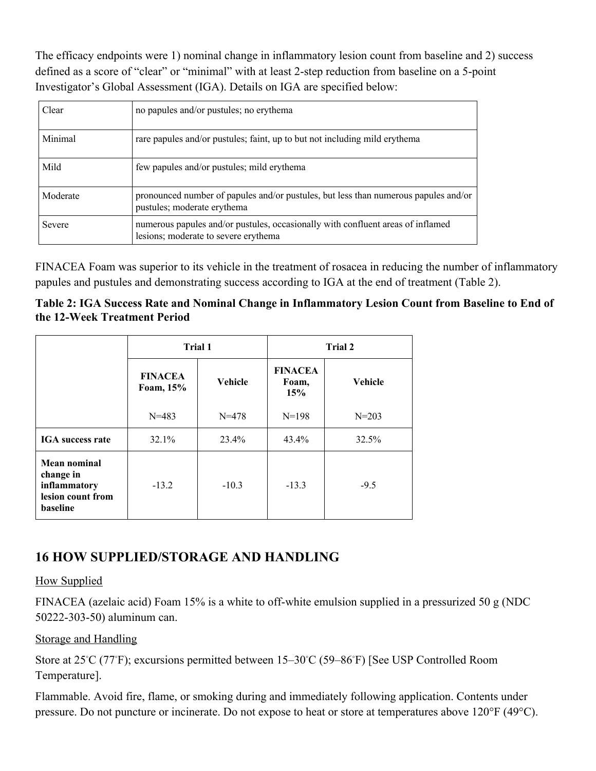The efficacy endpoints were 1) nominal change in inflammatory lesion count from baseline and 2) success defined as a score of "clear" or "minimal" with at least 2-step reduction from baseline on a 5-point Investigator's Global Assessment (IGA). Details on IGA are specified below:

| Clear    | no papules and/or pustules; no erythema                                                                                 |
|----------|-------------------------------------------------------------------------------------------------------------------------|
| Minimal  | rare papules and/or pustules; faint, up to but not including mild erythema                                              |
| Mild     | few papules and/or pustules; mild erythema                                                                              |
| Moderate | pronounced number of papules and/or pustules, but less than numerous papules and/or<br>pustules; moderate erythema      |
| Severe   | numerous papules and/or pustules, occasionally with confluent areas of inflamed<br>lesions; moderate to severe erythema |

FINACEA Foam was superior to its vehicle in the treatment of rosacea in reducing the number of inflammatory papules and pustules and demonstrating success according to IGA at the end of treatment (Table 2).

**Table 2: IGA Success Rate and Nominal Change in Inflammatory Lesion Count from Baseline to End of the 12-Week Treatment Period** 

|                                                                                   | Trial 1                     |                | Trial 2                        |                |
|-----------------------------------------------------------------------------------|-----------------------------|----------------|--------------------------------|----------------|
|                                                                                   | <b>FINACEA</b><br>Foam, 15% | <b>Vehicle</b> | <b>FINACEA</b><br>Foam,<br>15% | <b>Vehicle</b> |
|                                                                                   | $N = 483$                   | $N = 478$      | $N=198$                        | $N = 203$      |
| <b>IGA</b> success rate                                                           | $32.1\%$                    | $23.4\%$       | $43.4\%$                       | 32.5%          |
| <b>Mean nominal</b><br>change in<br>inflammatory<br>lesion count from<br>baseline | $-13.2$                     | $-10.3$        | $-13.3$                        | $-9.5$         |

## **16 HOW SUPPLIED/STORAGE AND HANDLING**

#### How Supplied

FINACEA (azelaic acid) Foam 15% is a white to off-white emulsion supplied in a pressurized 50 g (NDC 50222-303-50) aluminum can.

### Storage and Handling

Store at 25℃ (77°F); excursions permitted between 15–30℃ (59–86°F) [See USP Controlled Room Temperature].

Flammable. Avoid fire, flame, or smoking during and immediately following application. Contents under pressure. Do not puncture or incinerate. Do not expose to heat or store at temperatures above 120°F (49°C).